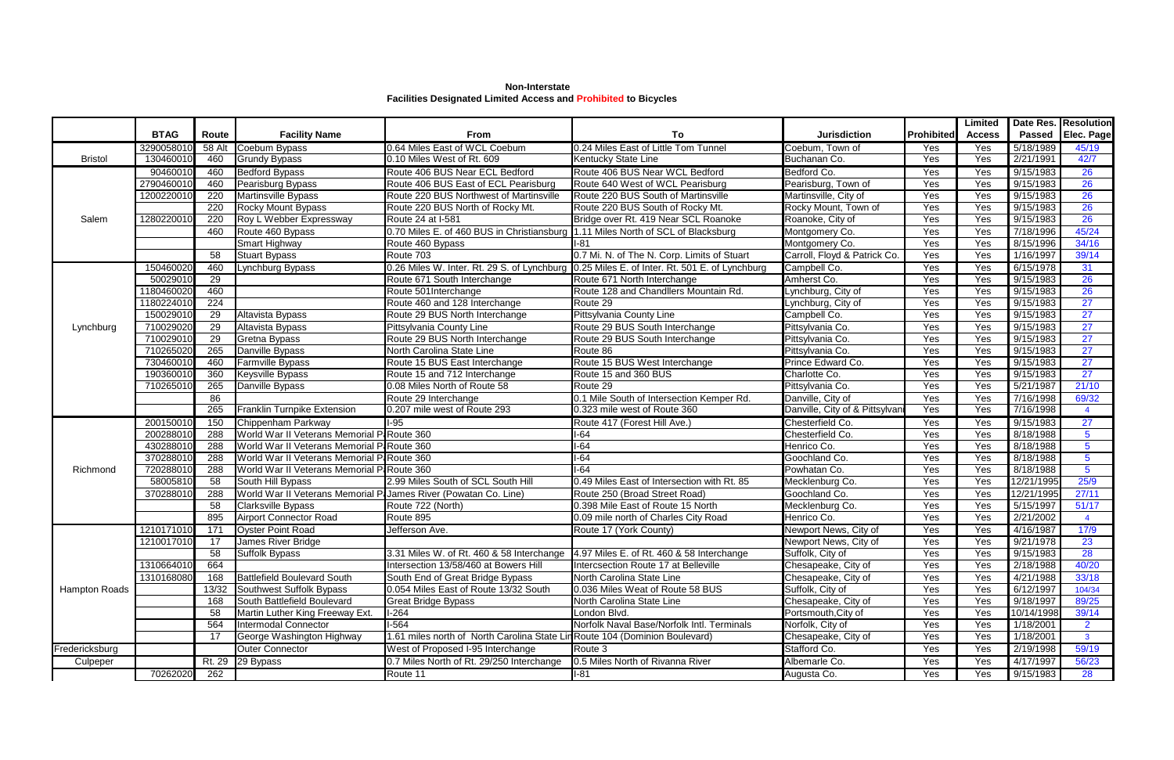**Non-Interstate Facilities Designated Limited Access and Prohibited to Bicycles**

|                      |             |        |                                                                  |                                             |                                                 |                                |                   | <b>Limited</b> |            | <b>Date Res. Resolution</b> |
|----------------------|-------------|--------|------------------------------------------------------------------|---------------------------------------------|-------------------------------------------------|--------------------------------|-------------------|----------------|------------|-----------------------------|
|                      | <b>BTAG</b> | Route  | <b>Facility Name</b>                                             | From                                        | To                                              | <b>Jurisdiction</b>            | <b>Prohibited</b> | <b>Access</b>  |            | Passed Elec. Page           |
|                      | 3290058010  | 58 Alt | Coebum Bypass                                                    | 0.64 Miles East of WCL Coebum               | 0.24 Miles East of Little Tom Tunnel            | Coebum, Town of                | Yes               | Yes            | 5/18/1989  | 45/19                       |
| <b>Bristol</b>       | 130460010   | 460    | <b>Grundy Bypass</b>                                             | 0.10 Miles West of Rt. 609                  | Kentucky State Line                             | Buchanan Co.                   | Yes               | Yes            | 2/21/1991  | 42/7                        |
| Salem                | 90460010    | 460    | <b>Bedford Bypass</b>                                            | Route 406 BUS Near ECL Bedford              | Route 406 BUS Near WCL Bedford                  | Bedford Co.                    | Yes               | Yes            | 9/15/1983  | 26                          |
|                      | 2790460010  | 460    | Pearisburg Bypass                                                | Route 406 BUS East of ECL Pearisburg        | Route 640 West of WCL Pearisburg                | Pearisburg, Town of            | Yes               | Yes            | 9/15/1983  | $\overline{26}$             |
|                      | 1200220010  | 220    | Martinsville Bypass                                              | Route 220 BUS Northwest of Martinsville     | Route 220 BUS South of Martinsville             | Martinsville, City of          | Yes               | Yes            | 9/15/1983  | 26                          |
|                      |             | 220    | <b>Rocky Mount Bypass</b>                                        | Route 220 BUS North of Rocky Mt.            | Route 220 BUS South of Rocky Mt.                | Rocky Mount, Town of           | Yes               | Yes            | 9/15/1983  | 26                          |
|                      | 1280220010  | 220    | Roy L Webber Expressway                                          | Route 24 at I-581                           | Bridge over Rt. 419 Near SCL Roanoke            | Roanoke, City of               | Yes               | Yes            | 9/15/1983  | 26                          |
|                      |             | 460    | Route 460 Bypass                                                 | 0.70 Miles E. of 460 BUS in Christiansburg  | 1.11 Miles North of SCL of Blacksburg           | Montgomery Co.                 | Yes               | Yes            | 7/18/1996  | 45/24                       |
|                      |             |        | Smart Highway                                                    | Route 460 Bypass                            | $1 - 81$                                        | Montgomery Co.                 | Yes               | Yes            | 8/15/1996  | 34/16                       |
|                      |             | 58     | <b>Stuart Bypass</b>                                             | Route 703                                   | 0.7 Mi. N. of The N. Corp. Limits of Stuart     | Carroll, Floyd & Patrick Co.   | Yes               | Yes            | 1/16/1997  | 39/14                       |
|                      | 150460020   | 460    | ynchburg Bypass                                                  | 0.26 Miles W. Inter. Rt. 29 S. of Lynchburg | 0.25 Miles E. of Inter. Rt. 501 E. of Lynchburg | Campbell Co.                   | Yes               | Yes            | 6/15/1978  | 31                          |
|                      | 50029010    | 29     |                                                                  | Route 671 South Interchange                 | Route 671 North Interchange                     | Amherst Co.                    | Yes               | Yes            | 9/15/1983  | 26                          |
|                      | 180460020   | 460    |                                                                  | Route 501Interchange                        | Route 128 and Chandllers Mountain Rd.           | Lynchburg, City of             | Yes               | Yes            | 9/15/1983  | <b>26</b>                   |
|                      | 1180224010  | 224    |                                                                  | Route 460 and 128 Interchange               | Route 29                                        | Lynchburg, City of             | Yes               | Yes            | 9/15/1983  | 27                          |
|                      | 150029010   | 29     | <b>Altavista Bypass</b>                                          | Route 29 BUS North Interchange              | Pittsylvania County Line                        | Campbell Co.                   | Yes               | Yes            | 9/15/1983  | 27                          |
| Lynchburg            | 710029020   | 29     | Altavista Bypass                                                 | Pittsylvania County Line                    | Route 29 BUS South Interchange                  | Pittsylvania Co.               | Yes               | Yes            | 9/15/1983  | 27                          |
|                      | 710029010   | 29     | Gretna Bypass                                                    | Route 29 BUS North Interchange              | Route 29 BUS South Interchange                  | Pittsylvania Co.               | Yes               | Yes            | 9/15/1983  | 27                          |
|                      | 710265020   | 265    | Danville Bypass                                                  | North Carolina State Line                   | Route 86                                        | Pittsylvania Co.               | Yes               | Yes            | 9/15/1983  | $\overline{27}$             |
|                      | 730460010   | 460    | Farmville Bypass                                                 | Route 15 BUS East Interchange               | Route 15 BUS West Interchange                   | Prince Edward Co.              | Yes               | Yes            | 9/15/1983  | $\overline{27}$             |
|                      | 190360010   | 360    | Keysville Bypass                                                 | Route 15 and 712 Interchange                | Route 15 and 360 BUS                            | Charlotte Co.                  | Yes               | Yes            | 9/15/1983  | 27                          |
|                      | 710265010   | 265    | Danville Bypass                                                  | 0.08 Miles North of Route 58                | Route 29                                        | Pittsylvania Co.               | Yes               | Yes            | 5/21/1987  | 21/10                       |
|                      |             | 86     |                                                                  | Route 29 Interchange                        | 0.1 Mile South of Intersection Kemper Rd.       | Danville, City of              | Yes               | Yes            | 7/16/1998  | 69/32                       |
|                      |             | 265    | <b>Franklin Turnpike Extension</b>                               | 0.207 mile west of Route 293                | 0.323 mile west of Route 360                    | Danville, City of & Pittsylvan | Yes               | Yes            | 7/16/1998  | $\overline{4}$              |
|                      | 200150010   | 150    | Chippenham Parkway                                               | l-95                                        | Route 417 (Forest Hill Ave.)                    | Chesterfield Co.               | Yes               | Yes            | 9/15/1983  | 27                          |
|                      | 200288010   | 288    | World War II Veterans Memorial P: Route 360                      |                                             | $I-64$                                          | Chesterfield Co.               | Yes               | Yes            | 8/18/1988  | 5 <sup>5</sup>              |
|                      | 430288010   | 288    | World War II Veterans Memorial P: Route 360                      |                                             | $I-64$                                          | Henrico Co.                    | Yes               | Yes            | 8/18/1988  | $5\phantom{.0}$             |
|                      | 370288010   | 288    | World War II Veterans Memorial P. Route 360                      |                                             | $1-64$                                          | Goochland Co.                  | Yes               | Yes            | 8/18/1988  | $5\phantom{.0}$             |
| Richmond             | 720288010   | 288    | World War II Veterans Memorial P: Route 360                      |                                             | $-64$                                           | Powhatan Co.                   | Yes               | Yes            | 8/18/1988  | 5 <sup>5</sup>              |
|                      | 58005810    | 58     | South Hill Bypass                                                | 2.99 Miles South of SCL South Hill          | 0.49 Miles East of Intersection with Rt. 85     | Mecklenburg Co.                | Yes               | Yes            | 12/21/1995 | 25/9                        |
|                      | 370288010   | 288    | World War II Veterans Memorial Pi James River (Powatan Co. Line) |                                             | Route 250 (Broad Street Road)                   | Goochland Co.                  | Yes               | Yes            | 12/21/1995 | 27/11                       |
|                      |             | 58     | <b>Clarksville Bypass</b>                                        | Route 722 (North)                           | 0.398 Mile East of Route 15 North               | Mecklenburg Co.                | Yes               | Yes            | 5/15/1997  | 51/17                       |
|                      |             | 895    | <b>Airport Connector Road</b>                                    | Route 895                                   | 0.09 mile north of Charles City Road            | Henrico Co.                    | Yes               | Yes            | 2/21/2002  |                             |
| <b>Hampton Roads</b> | 1210171010  | 171    | <b>Oyster Point Road</b>                                         | Jefferson Ave.                              | Route 17 (York County)                          | Newport News, City of          | Yes               | Yes            | 4/16/1987  | 17/9                        |
|                      | 1210017010  | 17     | James River Bridge                                               |                                             |                                                 | Newport News, City of          | Yes               | Yes            | 9/21/1978  | 23                          |
|                      |             | 58     | Suffolk Bypass                                                   | 3.31 Miles W. of Rt. 460 & 58 Interchange   | 4.97 Miles E. of Rt. 460 & 58 Interchange       | Suffolk, City of               | Yes               | Yes            | 9/15/1983  | 28                          |
|                      | 1310664010  | 664    |                                                                  | Intersection 13/58/460 at Bowers Hill       | Intercsection Route 17 at Belleville            | Chesapeake, City of            | Yes               | Yes            | 2/18/1988  | 40/20                       |
|                      | 1310168080  | 168    | <b>Battlefield Boulevard South</b>                               | South End of Great Bridge Bypass            | North Carolina State Line                       | Chesapeake, City of            | Yes               | Yes            | 4/21/1988  | 33/18                       |
|                      |             | 13/32  | Southwest Suffolk Bypass                                         | 0.054 Miles East of Route 13/32 South       | 0.036 Miles Weat of Route 58 BUS                | Suffolk, City of               | Yes               | Yes            | 6/12/1997  | 104/34                      |
|                      |             | 168    | South Battlefield Boulevard                                      | <b>Great Bridge Bypass</b>                  | North Carolina State Line                       | Chesapeake, City of            | Yes               | Yes            | 9/18/1997  | 89/25                       |
|                      |             | 58     | Martin Luther King Freeway Ext.                                  | $1-264$                                     | London Blvd.                                    | Portsmouth, City of            | Yes               | Yes            | 10/14/1998 | 39/14                       |
|                      |             | 564    | Intermodal Connector                                             | $1-564$                                     | Norfolk Naval Base/Norfolk Intl. Terminals      | Norfolk, City of               | Yes               | Yes            | 1/18/2001  | $\overline{2}$              |
|                      |             | 17     | George Washington Highway                                        | 1.61 miles north of North Carolina State L  | Route 104 (Dominion Boulevard)                  | Chesapeake, City of            | Yes               | Yes            | 1/18/2001  | $\mathbf{3}$                |
| Fredericksburg       |             |        | <b>Outer Connector</b>                                           | West of Proposed I-95 Interchange           | Route 3                                         | Stafford Co.                   | Yes               | Yes            | 2/19/1998  | 59/19                       |
| Culpeper             |             |        | Rt. 29 29 Bypass                                                 | 0.7 Miles North of Rt. 29/250 Interchange   | 0.5 Miles North of Rivanna River                | Albemarle Co.                  | Yes               | Yes            | 4/17/1997  | 56/23                       |
|                      | 70262020    | 262    |                                                                  | Route 11                                    | $I-81$                                          | Augusta Co.                    | Yes               | Yes            | 9/15/1983  | 28                          |